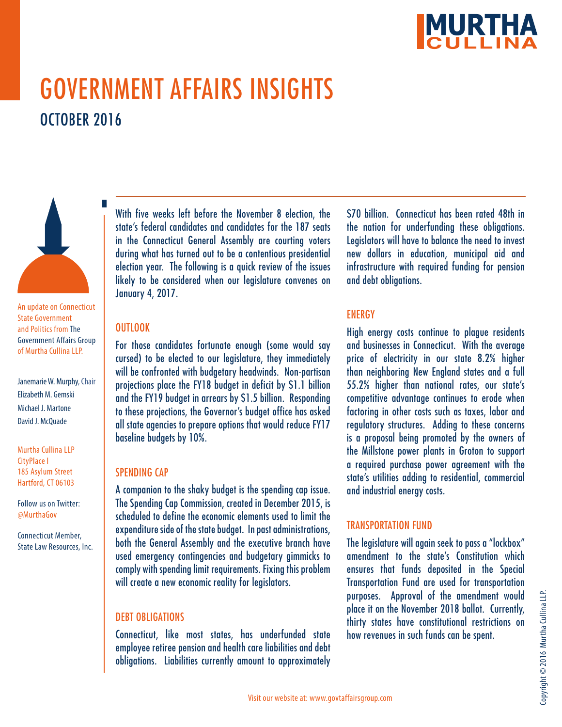

# GOVERNMENT AFFAIRS INSIGHTS OCTOBER 2016



An update on Connecticut State Government and Politics from The Government Affairs Group of Murtha Cullina LLP.

Janemarie W. Murphy, Chair Elizabeth M. Gemski Michael J. Martone David J. McQuade

Murtha Cullina LLP CityPlace I 185 Asylum Street Hartford, CT 06103

Follow us on Twitter: @MurthaGov

Connecticut Member, State Law Resources, Inc.

With five weeks left before the November 8 election, the state's federal candidates and candidates for the 187 seats in the Connecticut General Assembly are courting voters during what has turned out to be a contentious presidential election year. The following is a quick review of the issues likely to be considered when our legislature convenes on January 4, 2017.

#### **OUTLOOK**

For those candidates fortunate enough (some would say cursed) to be elected to our legislature, they immediately will be confronted with budgetary headwinds. Non-partisan projections place the FY18 budget in deficit by \$1.1 billion and the FY19 budget in arrears by \$1.5 billion. Responding to these projections, the Governor's budget office has asked all state agencies to prepare options that would reduce FY17 baseline budgets by 10%.

#### SPENDING CAP

A companion to the shaky budget is the spending cap issue. The Spending Cap Commission, created in December 2015, is scheduled to define the economic elements used to limit the expenditure side of the state budget. In past administrations, both the General Assembly and the executive branch have used emergency contingencies and budgetary gimmicks to comply with spending limit requirements. Fixing this problem will create a new economic reality for legislators.

## DEBT OBLIGATIONS

Connecticut, like most states, has underfunded state employee retiree pension and health care liabilities and debt obligations. Liabilities currently amount to approximately

\$70 billion. Connecticut has been rated 48th in the nation for underfunding these obligations. Legislators will have to balance the need to invest new dollars in education, municipal aid and infrastructure with required funding for pension and debt obligations.

## **ENERGY**

High energy costs continue to plague residents and businesses in Connecticut. With the average price of electricity in our state 8.2% higher than neighboring New England states and a full 55.2% higher than national rates, our state's competitive advantage continues to erode when factoring in other costs such as taxes, labor and regulatory structures. Adding to these concerns is a proposal being promoted by the owners of the Millstone power plants in Groton to support a required purchase power agreement with the state's utilities adding to residential, commercial and industrial energy costs.

# TRANSPORTATION FUND

The legislature will again seek to pass a "lockbox" amendment to the state's Constitution which ensures that funds deposited in the Special Transportation Fund are used for transportation purposes. Approval of the amendment would place it on the November 2018 ballot. Currently, thirty states have constitutional restrictions on how revenues in such funds can be spent.